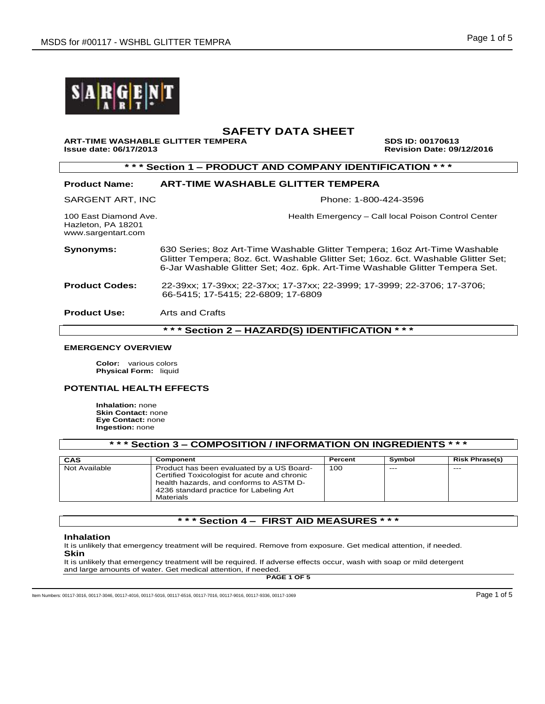



**ART-TIME WASHABLE GLITTER TEMPERA SDS ID: 00170613**

**Issue date: 06/17/2013 Revision Date: 09/12/2016**

**\* \* \* Section 1 – PRODUCT AND COMPANY IDENTIFICATION \* \* \***

#### **Product Name: ART-TIME WASHABLE GLITTER TEMPERA**

SARGENT ART, INC Phone: 1-800-424-3596

Hazleton, PA 18201 www.sargentart.com

100 East Diamond Ave. Health Emergency – Call local Poison Control Center

**Synonyms:** 630 Series; 8oz Art-Time Washable Glitter Tempera; 16oz Art-Time Washable Glitter Tempera; 8oz. 6ct. Washable Glitter Set; 16oz. 6ct. Washable Glitter Set; 6-Jar Washable Glitter Set; 4oz. 6pk. Art-Time Washable Glitter Tempera Set.

**Product Codes:** 22-39xx; 17-39xx; 22-37xx; 17-37xx; 22-3999; 17-3999; 22-3706; 17-3706; 66-5415; 17-5415; 22-6809; 17-6809

### **Product Use:** Arts and Crafts

**\* \* \* Section 2 – HAZARD(S) IDENTIFICATION \* \* \***

#### **EMERGENCY OVERVIEW**

**Color:** various colors **Physical Form:** liquid

#### **POTENTIAL HEALTH EFFECTS**

**Inhalation:** none **Skin Contact:** none **Eye Contact:** none **Ingestion:** none

| *** Section 3 – COMPOSITION / INFORMATION ON INGREDIENTS * * * |                                                                                                                                                                                              |         |        |                       |  |
|----------------------------------------------------------------|----------------------------------------------------------------------------------------------------------------------------------------------------------------------------------------------|---------|--------|-----------------------|--|
| <b>CAS</b>                                                     | Component                                                                                                                                                                                    | Percent | Symbol | <b>Risk Phrase(s)</b> |  |
| Not Available                                                  | Product has been evaluated by a US Board-<br>Certified Toxicologist for acute and chronic<br>health hazards, and conforms to ASTM D-<br>4236 standard practice for Labeling Art<br>Materials | 100     | $---$  | $---$                 |  |

### **\* \* \* Section 4 – FIRST AID MEASURES \* \* \***

#### **Inhalation**

It is unlikely that emergency treatment will be required. Remove from exposure. Get medical attention, if needed. **Skin**

It is unlikely that emergency treatment will be required. If adverse effects occur, wash with soap or mild detergent and large amounts of water. Get medical attention, if needed.

**PAGE 1 OF 5**

Item Numbers: 00117-3016, 00117-3046, 00117-4016, 00117-5016, 00117-6516, 00117-7016, 00117-9016, 00117-9016, 00117-9016, 00117-9016, 00117-9016, 00117-9016, 00117-9016, 00117-9016, 00117-1069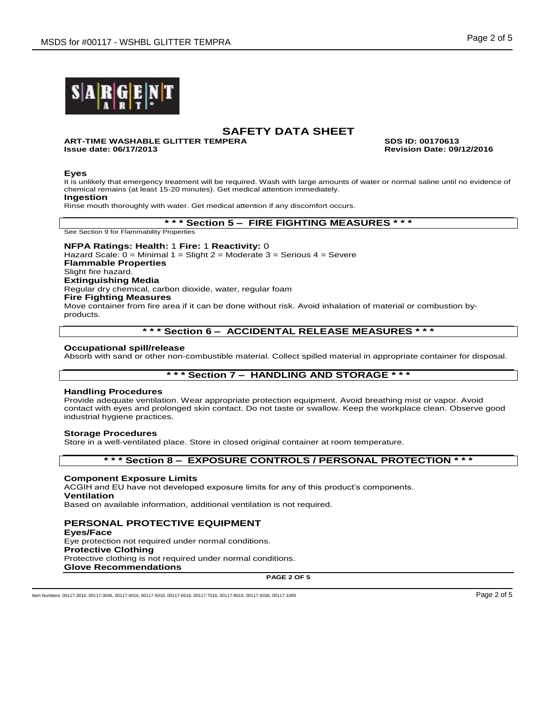

#### **ART-TIME WASHABLE GLITTER TEMPERA SDS ID: 00170613 Issue date: 06/17/2013 Revision Date: 09/12/2016**

**Eyes**

It is unlikely that emergency treatment will be required. Wash with large amounts of water or normal saline until no evidence of chemical remains (at least 15-20 minutes). Get medical attention immediately.

### **Ingestion**

Rinse mouth thoroughly with water. Get medical attention if any discomfort occurs.

**\* \* \* Section 5 – FIRE FIGHTING MEASURES \* \* \***

See Section 9 for Flammability Properties

#### **NFPA Ratings: Health:** 1 **Fire:** 1 **Reactivity:** 0

Hazard Scale:  $0 =$  Minimal  $1 =$  Slight  $2 =$  Moderate  $3 =$  Serious  $4 =$  Severe **Flammable Properties** Slight fire hazard. **Extinguishing Media** Regular dry chemical, carbon dioxide, water, regular foam **Fire Fighting Measures** Move container from fire area if it can be done without risk. Avoid inhalation of material or combustion byproducts.

### **\* \* \* Section 6 – ACCIDENTAL RELEASE MEASURES \* \* \***

#### **Occupational spill/release**

Absorb with sand or other non-combustible material. Collect spilled material in appropriate container for disposal.

### **\* \* \* Section 7 – HANDLING AND STORAGE \* \* \***

#### **Handling Procedures**

Provide adequate ventilation. Wear appropriate protection equipment. Avoid breathing mist or vapor. Avoid contact with eyes and prolonged skin contact. Do not taste or swallow. Keep the workplace clean. Observe good industrial hygiene practices.

#### **Storage Procedures**

Store in a well-ventilated place. Store in closed original container at room temperature.

### **\* \* \* Section 8 – EXPOSURE CONTROLS / PERSONAL PROTECTION \* \* \***

#### **Component Exposure Limits**

ACGIH and EU have not developed exposure limits for any of this product's components. **Ventilation** Based on available information, additional ventilation is not required.

#### **PERSONAL PROTECTIVE EQUIPMENT**

**Eyes/Face** Eye protection not required under normal conditions. **Protective Clothing** Protective clothing is not required under normal conditions. **Glove Recommendations**

**PAGE 2 OF 5**

Item Numbers: 00117-3016, 00117-3046, 00117-4016, 00117-5016, 00117-6516, 00117-7016, 00117-9016, 00117-9016, 00117-9016, 00117-9016, 00117-9016, 00117-9016, 00117-9016, 00117-9016, 00117-9036, 00117-1069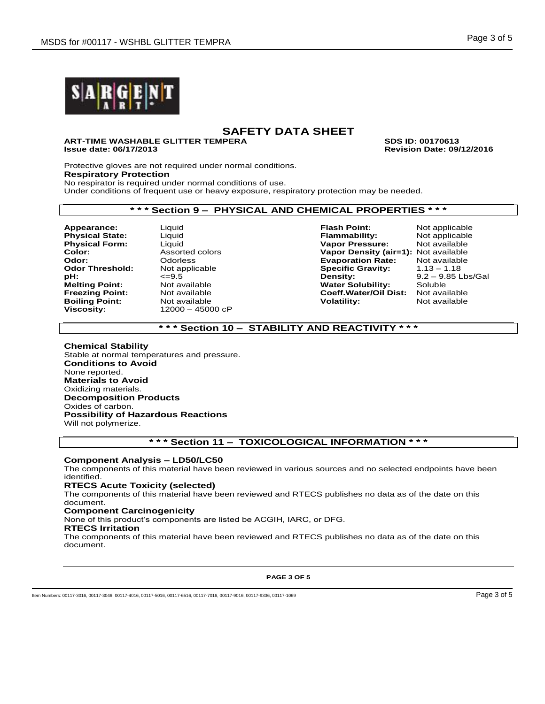



**ART-TIME WASHABLE GLITTER TEMPERA SDS ID: 00170613 Issue date: 06/17/2013 Revision Date: 09/12/2016**

Protective gloves are not required under normal conditions. **Respiratory Protection** No respirator is required under normal conditions of use. Under conditions of frequent use or heavy exposure, respiratory protection may be needed.

### **\* \* \* Section 9 – PHYSICAL AND CHEMICAL PROPERTIES \* \* \***

**Viscosity:** 12000 – 45000 cP

**Appearance:** Liquid **Flash Point:** Not applicable **Physical State:** Liquid **Flammability:** Not applicable **Physical Form:** Liquid **Vapor Pressure:** Not available **Color:** Assorted colors **Vapor Density (air=1):** Not available **Odorless <b>Evaporation Rate: Odor Threshold:** Not applicable **Specific Gravity:** 1.13 – 1.18<br> **pH:** Specific Gravity: 9.2 – 9.85 L **pH:**  $\leq$ =9.5 <br> **Pensity:** 9.2 – 9.85 Lbs/Gal<br> **Melting Point:** Not available **Communisty Contains Water Solubility:** Soluble **Melting Point:** Not available **Water Solubility:** Soluble **Coeff.Water/Oil Dist: Boiling Point:** Not available **Volatility:** Not available

## **\* \* \* Section 10 – STABILITY AND REACTIVITY \* \* \***

#### **Chemical Stability** Stable at normal temperatures and pressure. **Conditions to Avoid** None reported. **Materials to Avoid** Oxidizing materials. **Decomposition Products** Oxides of carbon. **Possibility of Hazardous Reactions** Will not polymerize.

**\* \* \* Section 11 – TOXICOLOGICAL INFORMATION \* \* \***

#### **Component Analysis – LD50/LC50**

The components of this material have been reviewed in various sources and no selected endpoints have been identified.

#### **RTECS Acute Toxicity (selected)**

The components of this material have been reviewed and RTECS publishes no data as of the date on this document.

#### **Component Carcinogenicity**

None of this product's components are listed be ACGIH, IARC, or DFG.

#### **RTECS Irritation**

The components of this material have been reviewed and RTECS publishes no data as of the date on this document.

**PAGE 3 OF 5**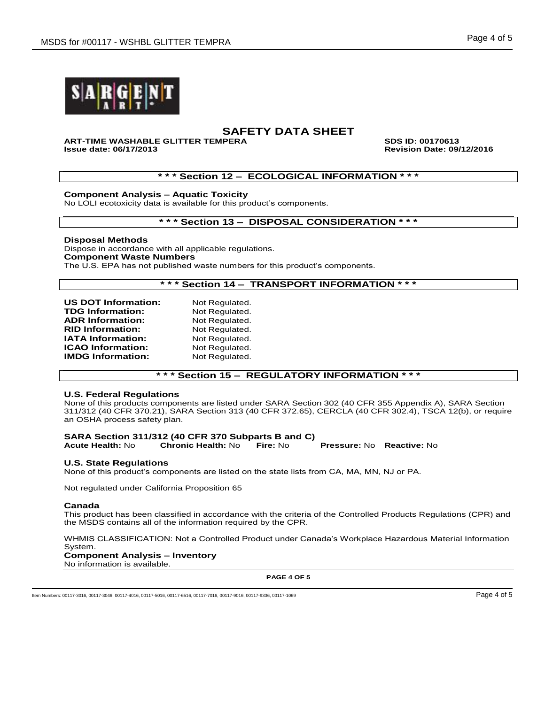

**ART-TIME WASHABLE GLITTER TEMPERA SDS ID: 00170613**

**Issue date: 06/17/2013 Revision Date: 09/12/2016**

### **\* \* \* Section 12 – ECOLOGICAL INFORMATION \* \* \***

**Component Analysis – Aquatic Toxicity**

No LOLI ecotoxicity data is available for this product's components.

#### **\* \* \* Section 13 – DISPOSAL CONSIDERATION \* \* \***

**Disposal Methods** Dispose in accordance with all applicable regulations. **Component Waste Numbers** The U.S. EPA has not published waste numbers for this product's components.

#### **\* \* \* Section 14 – TRANSPORT INFORMATION \* \* \***

| <b>US DOT Information:</b> | Not Regulated. |
|----------------------------|----------------|
| <b>TDG Information:</b>    | Not Regulated. |
| <b>ADR Information:</b>    | Not Regulated. |
| <b>RID Information:</b>    | Not Regulated. |
| <b>IATA Information:</b>   | Not Regulated. |
| <b>ICAO Information:</b>   | Not Regulated. |
| <b>IMDG Information:</b>   | Not Regulated. |
|                            |                |

#### **\* \* \* Section 15 – REGULATORY INFORMATION \* \* \***

#### **U.S. Federal Regulations**

None of this products components are listed under SARA Section 302 (40 CFR 355 Appendix A), SARA Section 311/312 (40 CFR 370.21), SARA Section 313 (40 CFR 372.65), CERCLA (40 CFR 302.4), TSCA 12(b), or require an OSHA process safety plan.

# **SARA Section 311/312 (40 CFR 370 Subparts B and C)**

**Acute Health:** No **Chronic Health:** No **Fire:** No **Pressure:** No **Reactive:** No

#### **U.S. State Regulations**

None of this product's components are listed on the state lists from CA, MA, MN, NJ or PA.

Not regulated under California Proposition 65

#### **Canada**

This product has been classified in accordance with the criteria of the Controlled Products Regulations (CPR) and the MSDS contains all of the information required by the CPR.

WHMIS CLASSIFICATION: Not a Controlled Product under Canada's Workplace Hazardous Material Information System. **Component Analysis – Inventory**

No information is available.

**PAGE 4 OF 5**

Item Numbers: 00117-3016, 00117-3046, 00117-4016, 00117-5016, 00117-6516, 00117-7016, 00117-9016, 00117-9016, 00117-9016, 00117-9016, 00117-9016, 00117-9016, 00117-9016, 00117-9016, 00117-9036, 00117-1069